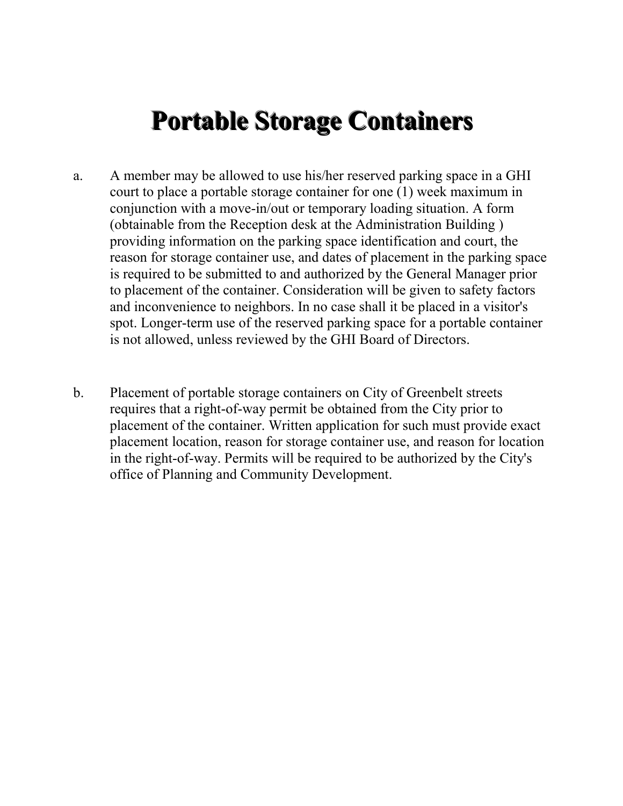## **Portable Storage Containers**

- a. A member may be allowed to use his/her reserved parking space in a GHI court to place a portable storage container for one (1) week maximum in conjunction with a move-in/out or temporary loading situation. A form (obtainable from the Reception desk at the Administration Building ) providing information on the parking space identification and court, the reason for storage container use, and dates of placement in the parking space is required to be submitted to and authorized by the General Manager prior to placement of the container. Consideration will be given to safety factors and inconvenience to neighbors. In no case shall it be placed in a visitor's spot. Longer-term use of the reserved parking space for a portable container is not allowed, unless reviewed by the GHI Board of Directors.
- b. Placement of portable storage containers on City of Greenbelt streets requires that a right-of-way permit be obtained from the City prior to placement of the container. Written application for such must provide exact placement location, reason for storage container use, and reason for location in the right-of-way. Permits will be required to be authorized by the City's office of Planning and Community Development.